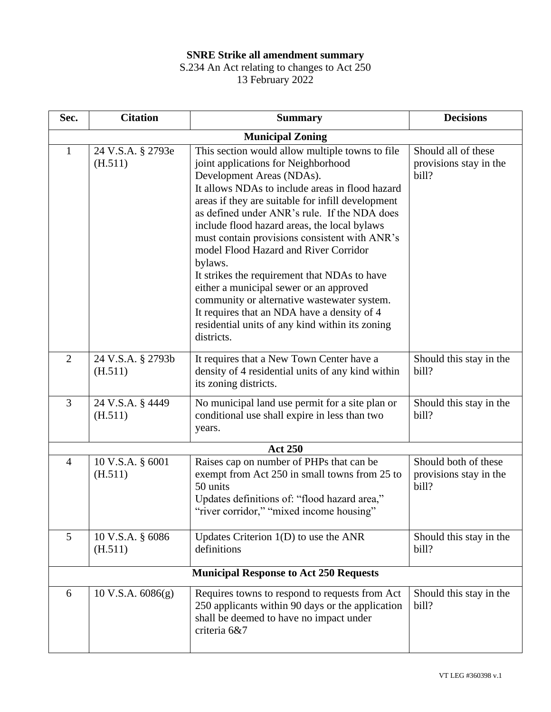## **SNRE Strike all amendment summary**

## S.234 An Act relating to changes to Act 250 13 February 2022

| Sec.                                          | <b>Citation</b>              | <b>Summary</b>                                                                                                                                                                                                                                                                                                                                                                                                                                                                                                                                                                                                                                                                             | <b>Decisions</b>                                        |  |  |
|-----------------------------------------------|------------------------------|--------------------------------------------------------------------------------------------------------------------------------------------------------------------------------------------------------------------------------------------------------------------------------------------------------------------------------------------------------------------------------------------------------------------------------------------------------------------------------------------------------------------------------------------------------------------------------------------------------------------------------------------------------------------------------------------|---------------------------------------------------------|--|--|
| <b>Municipal Zoning</b>                       |                              |                                                                                                                                                                                                                                                                                                                                                                                                                                                                                                                                                                                                                                                                                            |                                                         |  |  |
| $\mathbf{1}$                                  | 24 V.S.A. § 2793e<br>(H.511) | This section would allow multiple towns to file<br>joint applications for Neighborhood<br>Development Areas (NDAs).<br>It allows NDAs to include areas in flood hazard<br>areas if they are suitable for infill development<br>as defined under ANR's rule. If the NDA does<br>include flood hazard areas, the local bylaws<br>must contain provisions consistent with ANR's<br>model Flood Hazard and River Corridor<br>bylaws.<br>It strikes the requirement that NDAs to have<br>either a municipal sewer or an approved<br>community or alternative wastewater system.<br>It requires that an NDA have a density of 4<br>residential units of any kind within its zoning<br>districts. | Should all of these<br>provisions stay in the<br>bill?  |  |  |
| $\overline{2}$                                | 24 V.S.A. § 2793b<br>(H.511) | It requires that a New Town Center have a<br>density of 4 residential units of any kind within<br>its zoning districts.                                                                                                                                                                                                                                                                                                                                                                                                                                                                                                                                                                    | Should this stay in the<br>bill?                        |  |  |
| $\overline{3}$                                | 24 V.S.A. § 4449<br>(H.511)  | No municipal land use permit for a site plan or<br>conditional use shall expire in less than two<br>years.                                                                                                                                                                                                                                                                                                                                                                                                                                                                                                                                                                                 | Should this stay in the<br>bill?                        |  |  |
|                                               |                              | <b>Act 250</b>                                                                                                                                                                                                                                                                                                                                                                                                                                                                                                                                                                                                                                                                             |                                                         |  |  |
| $\overline{4}$                                | 10 V.S.A. § 6001<br>(H.511)  | Raises cap on number of PHPs that can be<br>exempt from Act 250 in small towns from 25 to<br>50 units<br>Updates definitions of: "flood hazard area,"<br>"river corridor," "mixed income housing"                                                                                                                                                                                                                                                                                                                                                                                                                                                                                          | Should both of these<br>provisions stay in the<br>bill? |  |  |
| 5                                             | 10 V.S.A. § 6086<br>(H.511)  | Updates Criterion $1(D)$ to use the ANR<br>definitions                                                                                                                                                                                                                                                                                                                                                                                                                                                                                                                                                                                                                                     | Should this stay in the<br>bill?                        |  |  |
| <b>Municipal Response to Act 250 Requests</b> |                              |                                                                                                                                                                                                                                                                                                                                                                                                                                                                                                                                                                                                                                                                                            |                                                         |  |  |
| 6                                             | $10$ V.S.A. $6086(g)$        | Requires towns to respond to requests from Act<br>250 applicants within 90 days or the application<br>shall be deemed to have no impact under<br>criteria 6&7                                                                                                                                                                                                                                                                                                                                                                                                                                                                                                                              | Should this stay in the<br>bill?                        |  |  |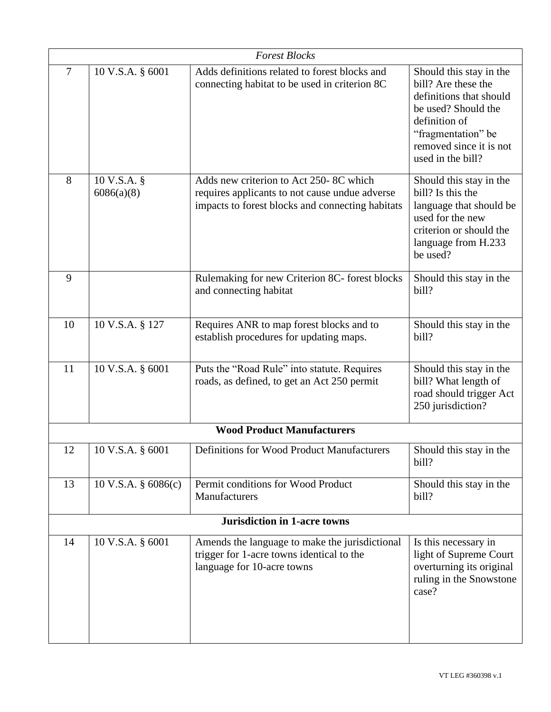|                                     |                                | <b>Forest Blocks</b>                                                                                                                         |                                                                                                                                                                                         |  |  |  |
|-------------------------------------|--------------------------------|----------------------------------------------------------------------------------------------------------------------------------------------|-----------------------------------------------------------------------------------------------------------------------------------------------------------------------------------------|--|--|--|
| $\tau$                              | 10 V.S.A. § 6001               | Adds definitions related to forest blocks and<br>connecting habitat to be used in criterion 8C                                               | Should this stay in the<br>bill? Are these the<br>definitions that should<br>be used? Should the<br>definition of<br>"fragmentation" be<br>removed since it is not<br>used in the bill? |  |  |  |
| 8                                   | 10 V.S.A. §<br>6086(a)(8)      | Adds new criterion to Act 250-8C which<br>requires applicants to not cause undue adverse<br>impacts to forest blocks and connecting habitats | Should this stay in the<br>bill? Is this the<br>language that should be<br>used for the new<br>criterion or should the<br>language from H.233<br>be used?                               |  |  |  |
| 9                                   |                                | Rulemaking for new Criterion 8C- forest blocks<br>and connecting habitat                                                                     | Should this stay in the<br>bill?                                                                                                                                                        |  |  |  |
| 10                                  | 10 V.S.A. § 127                | Requires ANR to map forest blocks and to<br>establish procedures for updating maps.                                                          | Should this stay in the<br>bill?                                                                                                                                                        |  |  |  |
| 11                                  | 10 V.S.A. § 6001               | Puts the "Road Rule" into statute. Requires<br>roads, as defined, to get an Act 250 permit                                                   | Should this stay in the<br>bill? What length of<br>road should trigger Act<br>250 jurisdiction?                                                                                         |  |  |  |
| <b>Wood Product Manufacturers</b>   |                                |                                                                                                                                              |                                                                                                                                                                                         |  |  |  |
| 12                                  | 10 V.S.A. § 6001               | Definitions for Wood Product Manufacturers                                                                                                   | Should this stay in the<br>bill?                                                                                                                                                        |  |  |  |
| 13                                  | $10 \text{ V.S.A. }$ § 6086(c) | Permit conditions for Wood Product<br>Manufacturers                                                                                          | Should this stay in the<br>bill?                                                                                                                                                        |  |  |  |
| <b>Jurisdiction in 1-acre towns</b> |                                |                                                                                                                                              |                                                                                                                                                                                         |  |  |  |
| 14                                  | 10 V.S.A. § 6001               | Amends the language to make the jurisdictional<br>trigger for 1-acre towns identical to the<br>language for 10-acre towns                    | Is this necessary in<br>light of Supreme Court<br>overturning its original<br>ruling in the Snowstone<br>case?                                                                          |  |  |  |